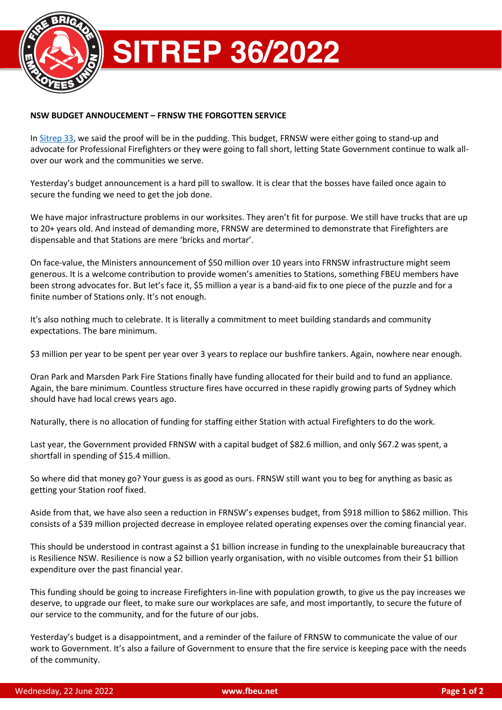

## **NSW BUDGET ANNOUCEMENT – FRNSW THE FORGOTTEN SERVICE**

In Sitrep 33, we said the proof will be in the pudding. This budget, FRNSW were either going to stand-up and advocate for Professional Firefighters or they were going to fall short, letting State Government continue to walk allover our work and the communities we serve.

Yesterday's budget announcement is a hard pill to swallow. It is clear that the bosses have failed once again to secure the funding we need to get the job done.

We have major infrastructure problems in our worksites. They aren't fit for purpose. We still have trucks that are up to 20+ years old. And instead of demanding more, FRNSW are determined to demonstrate that Firefighters are dispensable and that Stations are mere 'bricks and mortar'.

On face-value, the Ministers announcement of \$50 million over 10 years into FRNSW infrastructure might seem generous. It is a welcome contribution to provide women's amenities to Stations, something FBEU members have been strong advocates for. But let's face it, \$5 million a year is a band-aid fix to one piece of the puzzle and for a finite number of Stations only. It's not enough.

It's also nothing much to celebrate. It is literally a commitment to meet building standards and community expectations. The bare minimum.

\$3 million per year to be spent per year over 3 years to replace our bushfire tankers. Again, nowhere near enough.

Oran Park and Marsden Park Fire Stations finally have funding allocated for their build and to fund an appliance. Again, the bare minimum. Countless structure fires have occurred in these rapidly growing parts of Sydney which should have had local crews years ago.

Naturally, there is no allocation of funding for staffing either Station with actual Firefighters to do the work.

Last year, the Government provided FRNSW with a capital budget of \$82.6 million, and only \$67.2 was spent, a shortfall in spending of \$15.4 million.

So where did that money go? Your guess is as good as ours. FRNSW still want you to beg for anything as basic as getting your Station roof fixed.

Aside from that, we have also seen a reduction in FRNSW's expenses budget, from \$918 million to \$862 million. This consists of a \$39 million projected decrease in employee related operating expenses over the coming financial year.

This should be understood in contrast against a \$1 billion increase in funding to the unexplainable bureaucracy that is Resilience NSW. Resilience is now a \$2 billion yearly organisation, with no visible outcomes from their \$1 billion expenditure over the past financial year.

This funding should be going to increase Firefighters in-line with population growth, to give us the pay increases we deserve, to upgrade our fleet, to make sure our workplaces are safe, and most importantly, to secure the future of our service to the community, and for the future of our jobs.

Yesterday's budget is a disappointment, and a reminder of the failure of FRNSW to communicate the value of our work to Government. It's also a failure of Government to ensure that the fire service is keeping pace with the needs of the community.